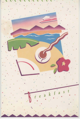